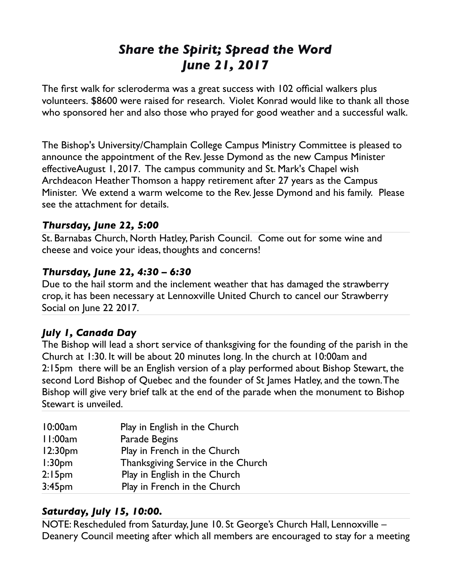# *Share the Spirit; Spread the Word June 21, 2017*

The first walk for scleroderma was a great success with 102 official walkers plus volunteers. \$8600 were raised for research. Violet Konrad would like to thank all those who sponsored her and also those who prayed for good weather and a successful walk.

The Bishop's University/Champlain College Campus Ministry Committee is pleased to announce the appointment of the Rev. Jesse Dymond as the new Campus Minister effectiveAugust 1, 2017. The campus community and St. Mark's Chapel wish Archdeacon Heather Thomson a happy retirement after 27 years as the Campus Minister. We extend a warm welcome to the Rev. Jesse Dymond and his family. Please see the attachment for details.

### *Thursday, June 22, 5:00*

St. Barnabas Church, North Hatley, Parish Council. Come out for some wine and cheese and voice your ideas, thoughts and concerns!

### *Thursday, June 22, 4:30 – 6:30*

Due to the hail storm and the inclement weather that has damaged the strawberry crop, it has been necessary at Lennoxville United Church to cancel our Strawberry Social on June 22 2017.

# *July 1, Canada Day*

The Bishop will lead a short service of thanksgiving for the founding of the parish in the Church at 1:30. It will be about 20 minutes long. In the church at 10:00am and 2:15pm there will be an English version of a play performed about Bishop Stewart, the second Lord Bishop of Quebec and the founder of St James Hatley, and the town. The Bishop will give very brief talk at the end of the parade when the monument to Bishop Stewart is unveiled.

| 10:00am             | Play in English in the Church      |
|---------------------|------------------------------------|
| 11:00am             | Parade Begins                      |
| 12:30 <sub>pm</sub> | Play in French in the Church       |
| 1:30 <sub>pm</sub>  | Thanksgiving Service in the Church |
| 2:15 <sub>pm</sub>  | Play in English in the Church      |
| 3:45 <sub>pm</sub>  | Play in French in the Church       |

# *Saturday, July 15, 10:00.*

NOTE: Rescheduled from Saturday, June 10. St George's Church Hall, Lennoxville – Deanery Council meeting after which all members are encouraged to stay for a meeting